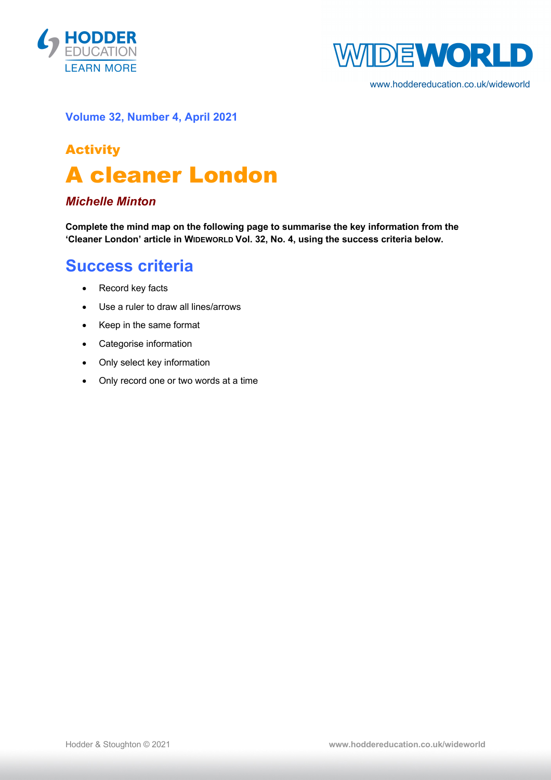



www.hoddereducation.co.uk/wideworld

#### **Volume 32, Number 4, April 2021**

# Activity A cleaner London

### *Michelle Minton*

**Complete the mind map on the following page to summarise the key information from the 'Cleaner London' article in WIDEWORLD Vol. 32, No. 4, using the success criteria below.**

## **Success criteria**

- Record key facts
- Use a ruler to draw all lines/arrows
- Keep in the same format
- Categorise information
- Only select key information
- Only record one or two words at a time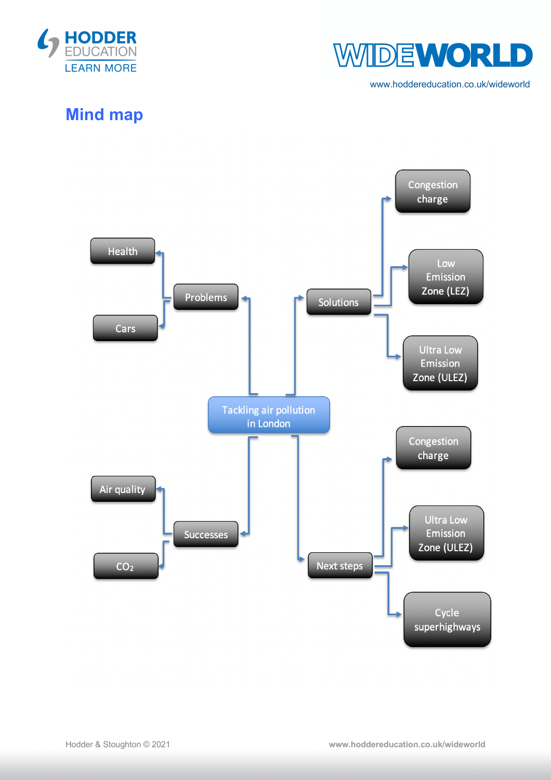



www.hoddereducation.co.uk/wideworld

## **Mind map**